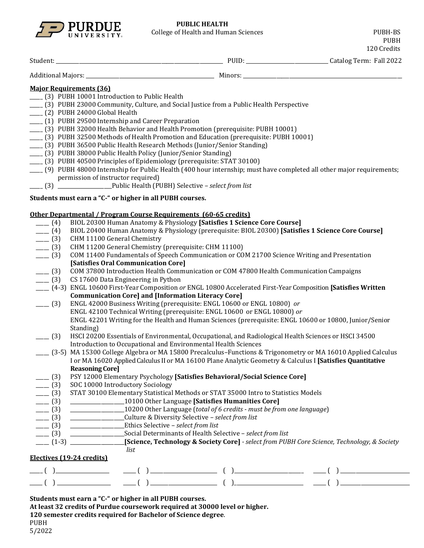

PUBH

|                                  |                                                                                                                                           |                                                                                                                                                                                                                                                                                                                                                                                                                       |  | 120 Credits |  |  |  |  |  |
|----------------------------------|-------------------------------------------------------------------------------------------------------------------------------------------|-----------------------------------------------------------------------------------------------------------------------------------------------------------------------------------------------------------------------------------------------------------------------------------------------------------------------------------------------------------------------------------------------------------------------|--|-------------|--|--|--|--|--|
|                                  |                                                                                                                                           |                                                                                                                                                                                                                                                                                                                                                                                                                       |  |             |  |  |  |  |  |
|                                  |                                                                                                                                           |                                                                                                                                                                                                                                                                                                                                                                                                                       |  |             |  |  |  |  |  |
| <b>Major Requirements (36)</b>   |                                                                                                                                           |                                                                                                                                                                                                                                                                                                                                                                                                                       |  |             |  |  |  |  |  |
|                                  | (3) PUBH 10001 Introduction to Public Health                                                                                              |                                                                                                                                                                                                                                                                                                                                                                                                                       |  |             |  |  |  |  |  |
|                                  | (3) PUBH 23000 Community, Culture, and Social Justice from a Public Health Perspective                                                    |                                                                                                                                                                                                                                                                                                                                                                                                                       |  |             |  |  |  |  |  |
| ___ (2) PUBH 24000 Global Health |                                                                                                                                           |                                                                                                                                                                                                                                                                                                                                                                                                                       |  |             |  |  |  |  |  |
|                                  | (1) PUBH 29500 Internship and Career Preparation                                                                                          |                                                                                                                                                                                                                                                                                                                                                                                                                       |  |             |  |  |  |  |  |
|                                  | [3] PUBH 32000 Health Behavior and Health Promotion (prerequisite: PUBH 10001)                                                            |                                                                                                                                                                                                                                                                                                                                                                                                                       |  |             |  |  |  |  |  |
|                                  |                                                                                                                                           | [3] PUBH 32500 Methods of Health Promotion and Education (prerequisite: PUBH 10001)                                                                                                                                                                                                                                                                                                                                   |  |             |  |  |  |  |  |
|                                  | [3] PUBH 36500 Public Health Research Methods (Junior/Senior Standing)                                                                    |                                                                                                                                                                                                                                                                                                                                                                                                                       |  |             |  |  |  |  |  |
|                                  | (3) PUBH 38000 Public Health Policy (Junior/Senior Standing)<br>[3] PUBH 40500 Principles of Epidemiology (prerequisite: STAT 30100)      |                                                                                                                                                                                                                                                                                                                                                                                                                       |  |             |  |  |  |  |  |
|                                  |                                                                                                                                           | [9] PUBH 48000 Internship for Public Health (400 hour internship; must have completed all other major requirements;                                                                                                                                                                                                                                                                                                   |  |             |  |  |  |  |  |
|                                  | permission of instructor required)                                                                                                        |                                                                                                                                                                                                                                                                                                                                                                                                                       |  |             |  |  |  |  |  |
|                                  | (3) _________________________Public Health (PUBH) Selective - select from list                                                            |                                                                                                                                                                                                                                                                                                                                                                                                                       |  |             |  |  |  |  |  |
|                                  |                                                                                                                                           |                                                                                                                                                                                                                                                                                                                                                                                                                       |  |             |  |  |  |  |  |
|                                  | Students must earn a "C-" or higher in all PUBH courses.                                                                                  |                                                                                                                                                                                                                                                                                                                                                                                                                       |  |             |  |  |  |  |  |
|                                  | Other Departmental / Program Course Requirements (60-65 credits)                                                                          |                                                                                                                                                                                                                                                                                                                                                                                                                       |  |             |  |  |  |  |  |
| $- (4)$                          |                                                                                                                                           | BIOL 20300 Human Anatomy & Physiology [Satisfies 1 Science Core Course]                                                                                                                                                                                                                                                                                                                                               |  |             |  |  |  |  |  |
| $- (4)$                          |                                                                                                                                           | BIOL 20400 Human Anatomy & Physiology (prerequisite: BIOL 20300) [Satisfies 1 Science Core Course]                                                                                                                                                                                                                                                                                                                    |  |             |  |  |  |  |  |
| $- (3)$                          | CHM 11100 General Chemistry                                                                                                               |                                                                                                                                                                                                                                                                                                                                                                                                                       |  |             |  |  |  |  |  |
|                                  | CHM 11200 General Chemistry (prerequisite: CHM 11100)<br>$- (3)$                                                                          |                                                                                                                                                                                                                                                                                                                                                                                                                       |  |             |  |  |  |  |  |
|                                  | COM 11400 Fundamentals of Speech Communication or COM 21700 Science Writing and Presentation<br>$- (3)$                                   |                                                                                                                                                                                                                                                                                                                                                                                                                       |  |             |  |  |  |  |  |
|                                  | [Satisfies Oral Communication Core]                                                                                                       |                                                                                                                                                                                                                                                                                                                                                                                                                       |  |             |  |  |  |  |  |
| $- (3)$                          | $- (3)$<br>COM 37800 Introduction Health Communication or COM 47800 Health Communication Campaigns<br>CS 17600 Data Engineering in Python |                                                                                                                                                                                                                                                                                                                                                                                                                       |  |             |  |  |  |  |  |
|                                  | (4-3) ENGL 10600 First-Year Composition or ENGL 10800 Accelerated First-Year Composition [Satisfies Written                               |                                                                                                                                                                                                                                                                                                                                                                                                                       |  |             |  |  |  |  |  |
|                                  | <b>Communication Core] and [Information Literacy Core]</b>                                                                                |                                                                                                                                                                                                                                                                                                                                                                                                                       |  |             |  |  |  |  |  |
| $- (3)$                          |                                                                                                                                           | ENGL 42000 Business Writing (prerequisite: ENGL 10600 or ENGL 10800) or                                                                                                                                                                                                                                                                                                                                               |  |             |  |  |  |  |  |
|                                  |                                                                                                                                           | ENGL 42100 Technical Writing (prerequisite: ENGL 10600 or ENGL 10800) or                                                                                                                                                                                                                                                                                                                                              |  |             |  |  |  |  |  |
|                                  |                                                                                                                                           | ENGL 42201 Writing for the Health and Human Sciences (prerequisite: ENGL 10600 or 10800, Junior/Senior                                                                                                                                                                                                                                                                                                                |  |             |  |  |  |  |  |
|                                  | Standing)                                                                                                                                 |                                                                                                                                                                                                                                                                                                                                                                                                                       |  |             |  |  |  |  |  |
| $- (3)$                          |                                                                                                                                           | HSCI 20200 Essentials of Environmental, Occupational, and Radiological Health Sciences or HSCI 34500                                                                                                                                                                                                                                                                                                                  |  |             |  |  |  |  |  |
|                                  | Introduction to Occupational and Environmental Health Sciences                                                                            |                                                                                                                                                                                                                                                                                                                                                                                                                       |  |             |  |  |  |  |  |
|                                  |                                                                                                                                           | [3-5] MA 15300 College Algebra or MA 15800 Precalculus-Functions & Trigonometry or MA 16010 Applied Calculus                                                                                                                                                                                                                                                                                                          |  |             |  |  |  |  |  |
|                                  |                                                                                                                                           | I or MA 16020 Applied Calculus II or MA 16100 Plane Analytic Geometry & Calculus I [Satisfies Quantitative                                                                                                                                                                                                                                                                                                            |  |             |  |  |  |  |  |
|                                  | <b>Reasoning Core]</b>                                                                                                                    | PSY 12000 Elementary Psychology [Satisfies Behavioral/Social Science Core]                                                                                                                                                                                                                                                                                                                                            |  |             |  |  |  |  |  |
| $- (3)$<br>$- (3)$               | SOC 10000 Introductory Sociology                                                                                                          |                                                                                                                                                                                                                                                                                                                                                                                                                       |  |             |  |  |  |  |  |
| $- (3)$                          |                                                                                                                                           | STAT 30100 Elementary Statistical Methods or STAT 35000 Intro to Statistics Models                                                                                                                                                                                                                                                                                                                                    |  |             |  |  |  |  |  |
| $- (3)$                          |                                                                                                                                           | ______________________10100 Other Language [Satisfies Humanities Core]                                                                                                                                                                                                                                                                                                                                                |  |             |  |  |  |  |  |
| $- (3)$                          |                                                                                                                                           | _________________10200 Other Language (total of 6 credits - must be from one language)                                                                                                                                                                                                                                                                                                                                |  |             |  |  |  |  |  |
| $- (3)$                          | _____________________Culture & Diversity Selective - select from list                                                                     |                                                                                                                                                                                                                                                                                                                                                                                                                       |  |             |  |  |  |  |  |
|                                  |                                                                                                                                           |                                                                                                                                                                                                                                                                                                                                                                                                                       |  |             |  |  |  |  |  |
|                                  |                                                                                                                                           |                                                                                                                                                                                                                                                                                                                                                                                                                       |  |             |  |  |  |  |  |
|                                  |                                                                                                                                           | [Science, Technology & Society Core] - select from PUBH Core Science, Technology, & Society                                                                                                                                                                                                                                                                                                                           |  |             |  |  |  |  |  |
|                                  | list                                                                                                                                      |                                                                                                                                                                                                                                                                                                                                                                                                                       |  |             |  |  |  |  |  |
|                                  | Electives (19-24 credits)                                                                                                                 |                                                                                                                                                                                                                                                                                                                                                                                                                       |  |             |  |  |  |  |  |
|                                  |                                                                                                                                           |                                                                                                                                                                                                                                                                                                                                                                                                                       |  |             |  |  |  |  |  |
|                                  |                                                                                                                                           | $\frac{1}{1-\frac{1}{1-\frac{1}{1-\frac{1}{1-\frac{1}{1-\frac{1}{1-\frac{1}{1-\frac{1}{1-\frac{1}{1-\frac{1}{1-\frac{1}{1-\frac{1}{1-\frac{1}{1-\frac{1}{1-\frac{1}{1-\frac{1}{1-\frac{1}{1-\frac{1}{1-\frac{1}{1-\frac{1}{1-\frac{1}{1-\frac{1}{1-\frac{1}{1-\frac{1}{1-\frac{1}{1-\frac{1}{1-\frac{1}{1-\frac{1}{1-\frac{1}{1-\frac{1}{1-\frac{1}{1-\frac{1}{1-\frac{1}{1-\frac{1}{1-\frac{1}{1-\frac{1}{1-\frac{1$ |  |             |  |  |  |  |  |

**Students must earn a "C-" or higher in all PUBH courses.**

**At least 32 credits of Purdue coursework required at 30000 level or higher.** 

**120 semester credits required for Bachelor of Science degree**.

PUBH 5/2022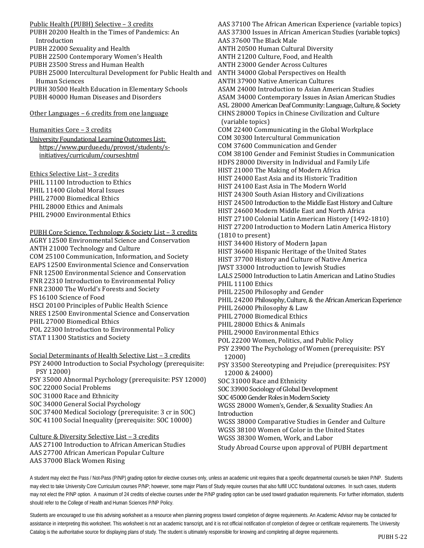Public Health (PUBH) Selective – 3 credits

PUBH 20200 Health in the Times of Pandemics: An Introduction PUBH 22000 Sexuality and Health PUBH 22500 Contemporary Women's Health PUBH 23500 Stress and Human Health PUBH 25000 Intercultural Development for Public Health and Human Sciences PUBH 30500 Health Education in Elementary Schools PUBH 40000 Human Diseases and Disorders

Other Languages – 6 credits from one language

Humanities Core – 3 credits

University Foundational Learning Outcomes List: [https://www.purdue.edu/provost/students/s](https://www.purdue.edu/provost/students/s-initiatives/curriculum/courses.html)[initiatives/curriculum/courses.html](https://www.purdue.edu/provost/students/s-initiatives/curriculum/courses.html) 

Ethics Selective List– 3 credits PHIL 11100 Introduction to Ethics PHIL 11400 Global Moral Issues PHIL 27000 Biomedical Ethics PHIL 28000 Ethics and Animals PHIL 29000 Environmental Ethics

PUBH Core Science, Technology & Society List – 3 credits AGRY 12500 Environmental Science and Conservation ANTH 21000 Technology and Culture COM 25100 Communication, Information, and Society EAPS 12500 Environmental Science and Conservation FNR 12500 Environmental Science and Conservation FNR 22310 Introduction to Environmental Policy FNR 23000 The World's Forests and Society FS 16100 Science of Food HSCI 20100 Principles of Public Health Science NRES 12500 Environmental Science and Conservation PHIL 27000 Biomedical Ethics POL 22300 Introduction to Environmental Policy STAT 11300 Statistics and Society

Social Determinants of Health Selective List – 3 credits PSY 24000 Introduction to Social Psychology (prerequisite: PSY 12000) PSY 35000 Abnormal Psychology (prerequisite: PSY 12000) SOC 22000 Social Problems SOC 31000 Race and Ethnicity SOC 34000 General Social Psychology SOC 37400 Medical Sociology (prerequisite: 3 cr in SOC) SOC 41100 Social Inequality (prerequisite: SOC 10000)

Culture & Diversity Selective List – 3 credits AAS 27100 Introduction to African American Studies AAS 27700 African American Popular Culture AAS 37000 Black Women Rising

AAS 37100 The African American Experience (variable topics) AAS 37300 Issues in African American Studies (variable topics) AAS 37600 The Black Male ANTH 20500 Human Cultural Diversity ANTH 21200 Culture, Food, and Health ANTH 23000 Gender Across Cultures ANTH 34000 Global Perspectives on Health ANTH 37900 Native American Cultures ASAM 24000 Introduction to Asian American Studies ASAM 34000 Contemporary Issues in Asian American Studies ASL 28000 American Deaf Community: Language, Culture, & Society CHNS 28000 Topics in Chinese Civilization and Culture (variable topics) COM 22400 Communicating in the Global Workplace COM 30300 Intercultural Communication COM 37600 Communication and Gender COM 38100 Gender and Feminist Studies in Communication HDFS 28000 Diversity in Individual and Family Life HIST 21000 The Making of Modern Africa HIST 24000 East Asia and its Historic Tradition HIST 24100 East Asia in The Modern World HIST 24300 South Asian History and Civilizations HIST 24500 Introduction to the Middle East History and Culture HIST 24600 Modern Middle East and North Africa HIST 27100 Colonial Latin American History (1492-1810) HIST 27200 Introduction to Modern Latin America History (1810 to present) HIST 34400 History of Modern Japan HIST 36600 Hispanic Heritage of the United States HIST 37700 History and Culture of Native America JWST 33000 Introduction to Jewish Studies LALS 25000 Introduction to Latin American and Latino Studies PHIL 11100 Ethics PHIL 22500 Philosophy and Gender PHIL 24200 Philosophy, Culture, & the African American Experience PHIL 26000 Philosophy & Law PHIL 27000 Biomedical Ethics PHIL 28000 Ethics & Animals PHIL 29000 Environmental Ethics POL 22200 Women, Politics, and Public Policy PSY 23900 The Psychology of Women (prerequisite: PSY 12000) PSY 33500 Stereotyping and Prejudice (prerequisites: PSY 12000 & 24000) SOC 31000 Race and Ethnicity SOC 33900 Sociology of Global Development SOC 45000 Gender Roles in Modern Society WGSS 28000 Women's, Gender, & Sexuality Studies: An Introduction WGSS 38000 Comparative Studies in Gender and Culture WGSS 38100 Women of Color in the United States WGSS 38300 Women, Work, and Labor

Study Abroad Course upon approval of PUBH department

A student may elect the Pass / Not-Pass (P/NP) grading option for elective courses only, unless an academic unit requires that a specific departmental course/s be taken P/NP. Students may elect to take University Core Curriculum courses P/NP; however, some major Plans of Study require courses that also fulfill UCC foundational outcomes. In such cases, students may not elect the P/NP option. A maximum of 24 credits of elective courses under the P/NP grading option can be used toward graduation requirements. For further information, students should refer to the College of Health and Human Sciences P/NP Policy.

Students are encouraged to use this advising worksheet as a resource when planning progress toward completion of degree requirements. An Academic Advisor may be contacted for assistance in interpreting this worksheet. This worksheet is not an academic transcript, and it is not official notification of completion of degree or certificate requirements. The University Catalog is the authoritative source for displaying plans of study. The student is ultimately responsible for knowing and completing all degree requirements.